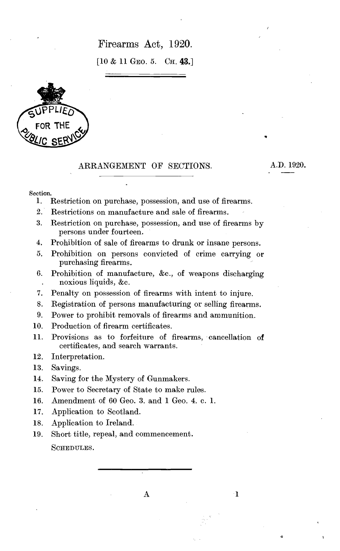Firearms Act, 1920.

[10 & 11 GEO. 5. CH. 43.]



## ARRANGEMENT OF SECTIONS.

A.D. 1920.

### Section.

- 1. Restriction on purchase, possession, and use of firearms.
- 2. Restrictions on manufacture and sale of firearms.
- 3. Restriction on purchase, possession, and use of firearms by persons under fourteen.
- 4. Prohibition of sale of firearms to drunk or insane persons.
- 5. Prohibition on persons convicted of crime carrying or purchasing firearms.
- 6. Prohibition of manufacture, &c., of weapons discharging noxious liquids, &c.  $\ddot{\phantom{0}}$
- 7. Penalty on possession of firearms with intent to injure.
- 8. Registration of persons manufacturing or selling firearms.
- 9. Power to prohibit removals of firearms and ammunition.
- 10. Production of firearm certificates.
- 11. Provisions as to forfeiture of firearms, cancellation of certificates, and search warrants.
- 12. Interpretation.
- 13. Savings.
- 14. Saving for the Mystery of Gunmakers.
- 15. Power to Secretary of State to make rules.
- 16. Amendment of 60 Geo. 3. and 1 Geo. 4. c. 1.
- 17. Application to Scotland.
- 18. Application to Ireland.
- 19. Short title, repeal, and commencement. SCHEDULES.

 $\mathbf{A}$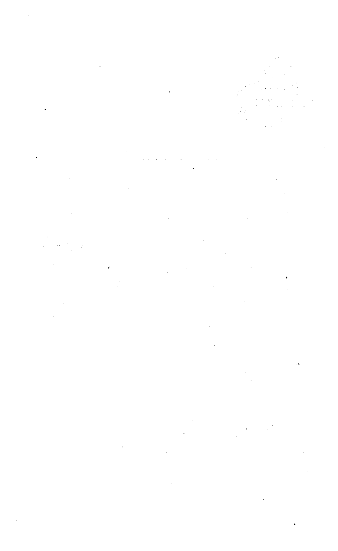

 $\sim 10^{-10}$ 

 $\mathcal{F}^{\text{max}}_{\text{max}}$ 

 $\mathcal{L}^{\text{max}}_{\text{max}}$ 

 $\label{eq:2.1} \frac{1}{\sqrt{2}}\int_{\mathbb{R}^3} \left|\frac{d\mu}{d\mu}\right|^2 \, d\mu = \frac{1}{2}\int_{\mathbb{R}^3} \left|\frac{d\mu}{d\mu}\right|^2 \, d\mu$  $\label{eq:2} \begin{split} \mathcal{L}_{\text{max}}(\mathbf{r}) = \frac{1}{2} \mathcal{L}_{\text{max}}(\mathbf{r}) \\ \mathcal{L}_{\text{max}}(\mathbf{r}) = \frac{1}{2} \mathcal{L}_{\text{max}}(\mathbf{r}) \\ \mathcal{L}_{\text{max}}(\mathbf{r}) = \frac{1}{2} \mathcal{L}_{\text{max}}(\mathbf{r}) \\ \mathcal{L}_{\text{max}}(\mathbf{r}) = \frac{1}{2} \mathcal{L}_{\text{max}}(\mathbf{r}) \\ \mathcal{L}_{\text{max}}(\mathbf{r}) = \frac{1}{2} \mathcal{L}_{\text{max}}$ 

 $\label{eq:2} \frac{1}{\sqrt{2}}\int_{0}^{\infty}\frac{1}{\sqrt{2\pi}}\left(\frac{1}{\sqrt{2\pi}}\right)^{2}d\mu_{\rm{eff}}\,.$ 

 $\label{eq:2.1} \begin{split} \mathcal{L}_{\text{max}}(\mathcal{L}_{\text{max}}(\mathbf{X}, \mathbf{X})) = \mathcal{L}_{\text{max}}(\mathbf{X}, \mathbf{X}) \\ = \mathcal{L}_{\text{max}}(\mathbf{X}, \mathbf{X}) = \mathcal{L}_{\text{max}}(\mathbf{X}, \mathbf{X}) \\ = \mathcal{L}_{\text{max}}(\mathbf{X}, \mathbf{X}) = \mathcal{L}_{\text{max}}(\mathbf{X}, \mathbf{X}) \\ = \mathcal{L}_{\text{max}}(\mathbf{X}, \mathbf{X}) = \mathcal{L}_{\text{max}}(\mathbf{X}, \mathbf{X}) \\$ 

 $\label{eq:2.1} \frac{1}{\sqrt{2\pi}}\int_{0}^{\infty}\frac{1}{\sqrt{2\pi}}\left(\frac{1}{\sqrt{2\pi}}\right)^{2\pi} \frac{1}{\sqrt{2\pi}}\int_{0}^{\infty}\frac{1}{\sqrt{2\pi}}\frac{1}{\sqrt{2\pi}}\int_{0}^{\infty}\frac{1}{\sqrt{2\pi}}\frac{1}{\sqrt{2\pi}}\frac{1}{\sqrt{2\pi}}\frac{1}{\sqrt{2\pi}}\frac{1}{\sqrt{2\pi}}\frac{1}{\sqrt{2\pi}}\frac{1}{\sqrt{2\pi}}\frac{1}{\sqrt{2\pi}}\frac{1}{\$ 

 $\label{eq:2.1} \frac{1}{\sqrt{2}}\left(\frac{1}{\sqrt{2}}\right)^{2} \left(\frac{1}{\sqrt{2}}\right)^{2} \left(\frac{1}{\sqrt{2}}\right)^{2} \left(\frac{1}{\sqrt{2}}\right)^{2} \left(\frac{1}{\sqrt{2}}\right)^{2} \left(\frac{1}{\sqrt{2}}\right)^{2} \left(\frac{1}{\sqrt{2}}\right)^{2} \left(\frac{1}{\sqrt{2}}\right)^{2} \left(\frac{1}{\sqrt{2}}\right)^{2} \left(\frac{1}{\sqrt{2}}\right)^{2} \left(\frac{1}{\sqrt{2}}\right)^{2} \left(\$  $\label{eq:2.1} \frac{1}{\sqrt{2\pi}}\int_{\mathbb{R}^3}\frac{1}{\sqrt{2\pi}}\int_{\mathbb{R}^3}\frac{1}{\sqrt{2\pi}}\int_{\mathbb{R}^3}\frac{1}{\sqrt{2\pi}}\int_{\mathbb{R}^3}\frac{1}{\sqrt{2\pi}}\int_{\mathbb{R}^3}\frac{1}{\sqrt{2\pi}}\int_{\mathbb{R}^3}\frac{1}{\sqrt{2\pi}}\int_{\mathbb{R}^3}\frac{1}{\sqrt{2\pi}}\int_{\mathbb{R}^3}\frac{1}{\sqrt{2\pi}}\int_{\mathbb{R}^3}\frac{1$ 

 $\mathcal{L}^{\text{max}}_{\text{max}}$  . The  $\mathcal{L}^{\text{max}}_{\text{max}}$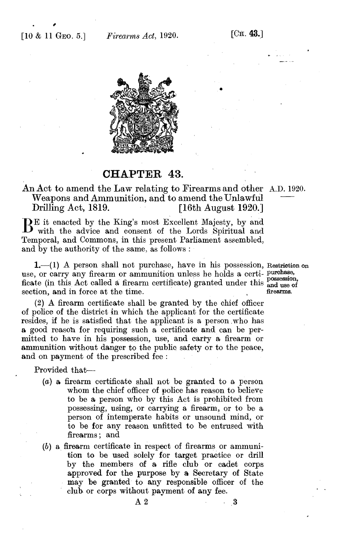

## CHAPTER 43.

# An Act to amend the Law relating to Firearms and other A.D. 1920. Weapons and Ammunition, and to amend the Unlawful<br>Drilling Act, 1819. [16th August 1920.]  $[16th$  August 1920.]

B <sup>E</sup>it enacted by the King's most Excellent Majesty, by and with the advice and consent of the Lords Spiritual and Temporal, and Commons, in this present Parliament assembled, and by the authority of the same, as follows :

1.--(1) A person shall not purchase, have in his possession, Restriction on use, or carry any firearm or ammunition unless he holds a certi- purchase, ficate (in this Act called a firearm certificate) granted under this and use of<br>section and in force at the time section, and in force at the time.

(2) A firearm certificate shall be granted by the chief officer of police of the district in which the applicant for the certificate resides, if he is satisfied that the applicant is a person .who has a good reason for requiring such a certificate and can be permitted to have in his possession, use, and carry a firearm or ammunition without danger to the public safety or to the peace, and on payment of the prescribed fee :

Provided that-

(a) a firearm certificate shall not be granted to a person whom the chief officer of police has reason to believe to be a person who by this Act is prohibited from possessing, using, or carrying a firearm, or to be a person of intemperate habits or unsound mind, or to be for any reason unfitted to be entrused with firearms ; and

(b) a, firearm certificate in respect of firearms or ammunition to be used solely for target practice or drill by the members of a rifle club or cadet corps approved for the purpose by a Secretary of State may be granted to any responsible officer of the club or corps without payment of any fee.

A2

- 3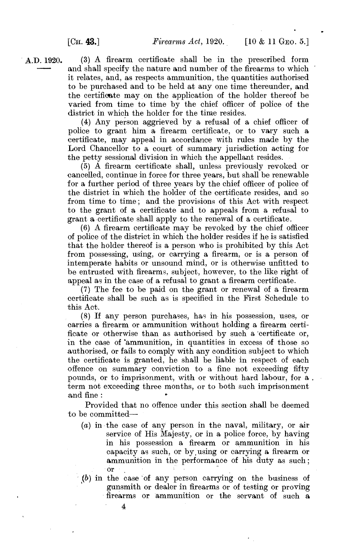A.D. 1920.

(3) A firearm certificate shall be in the prescribed form and shall specify the nature and number of the firearms to which it relates, and, as respects ammunition, the quantities authorised to be purchased and to be held at any one time thereunder, and the certificate may on the application of the holder thereof be varied from time to time by the chief officer of police of the district in which the holder for the time resides.

(4) Any person aggrieved by a refusal of a chief officer of police to grant him a firearm certificate, or to vary such a certificate, may appeal in accordance with rules made by the Lord Chancellor to a court of summary jurisdiction acting for the petty sessional division in which the appellant resides.

(5) A firearm certificate shall, unless previously revoked or cancelled, continue in force for three years, but shall be renewable for a further period of three years by the chief officer of police of the district in which the holder of the certificate resides, and so from time to time ; and the provisions of this Act with respect to the grant of a certificate and to appeals from a refusal to grant a certificate shall apply to the renewal of a certificate.

(6) A firearm certificate may be revoked by the chief officer of police of the district in which the holder resides if he is satisfied that the holder thereof is a person who is prohibited by this Act from possessing, using, or carrying a firearm, or is a person of intemperate habits or unsound mind, or is otherwise unfitted to be entrusted with firearms, subject, however, to the like right of appeal as in the case of a refusal to grant a firearm certificate.

(7) The fee to be paid on the grant or renewal of a firearm certificate shall be such as is specified in the First Schedule to this Act.

(8) If any person purchases, has in. his possession, uses, or carries a firearm or ammunition without holding a firearm certificate or otherwise than as authorised by such a certificate or, in the case of 'ammunition, in quantities in excess of those so authorised, or fails to comply with any condition subject to which the certificate is granted, he shall be liable in respect of each offence on summary conviction to a fine not exceeding fifty pounds, or to imprisonment, with or without hard labour, for a term not exceeding three months, or to both such imprisonment and fine :

Provided that no offence under this section shall be deemed to be committed-

- (a) in the case of any person in the naval, military, or air service of His Majesty, or in a police force, by having in his possession a firearm or ammunition in his capacity as such, or by.using or carrying a firearm or ammunition in the performance of his duty as such ; or
- $(b)$  in the case of any person carrying on the business of gunsmith or dealer in firearms or of testing or proving firearms or ammunition or the servant of such a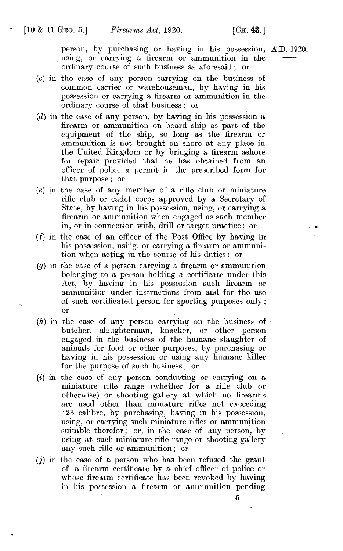person, by purchasing or having in his possession, A.D. 1920. using, or carrying a firearm or ammunition in the ordinary course of such business as aforesaid ; or

- (c) in the case of any person carrying on the business of common carrier or warehouseman, by having in his possession or carrying a firearm or ammunition in the ordinary course of that business ; or
- (d) in the case of any person, by having in his possession a firearm or ammunition on board ship as part of the equipment of the ship, so long as the firearm or ammunition is not brought on shore at any place in the United Kingdom or by bringing a firearm ashore for repair provided that he has obtained from an officer of police a permit in the prescribed form for that purpose ; or
- (e) in the case of any member of a rifle club or miniature rifle club or cadet corps approved by a Secretary of State, by having in his possession, using, or carrying a firearm or ammunition when engaged as such member in, or in connection with, drill or target practice ; or
- (f) in the case of an officer of the Post Office by having in his possession, using, or carrying a firearm or ammunition when acting in the course of his duties ; or
- $(g)$  in the case of a person carrying a firearm or ammunition belonging to a person holding a certificate under this Act, by having in his possession such firearm or ammunition under instructions from and for the use of such certificated person for sporting purposes only ; or
- $(h)$  in the case of any person carrying on the business of butcher, slaughterman, knacker, or other person engaged in the business of the humane slaughter of animals for food or other purposes, by purchasing or having in his possession or using any humane killer for the purpose of such business ; or
- (i) in the case of any person conducting or carrying on a. miniature rifle range (whether for a rifle club or otherwise) or shooting gallery at which no firearms are used other than miniature rifles not exceeding 23 calibre, by purchasing, having in his possession, using, or carrying such miniature rifles or ammunition suitable therefor ; or, in the case of any person, by using at such miniature rifle range or shooting gallery any such rifle or ammunition; or.
- $(j)$  in the case of a person who has been refused the grant of a firearm certificate by a chief officer of police or whose firearm certificate has been revoked by having in his possession a firearm or ammunition pending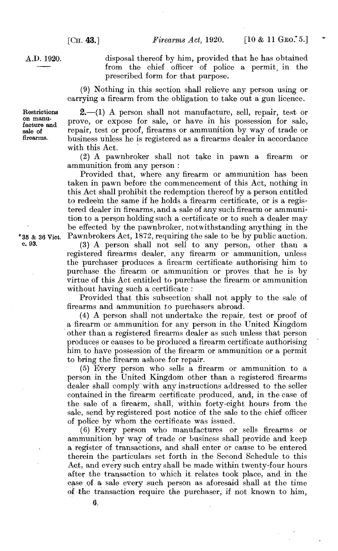A.D. 1920, disposal thereof by him, provided that he has obtained from the chief officer of police a permit, in the prescribed form for that purpose.

> (9) Nothing in this section shall relieve any person using or carrying a firearm from the obligation to take out a gun licence.

Restrictions 2,-(1) A person shall not manufacture, sell, repair, test or on manu-<br>facture and prove, or expose for sale, or have in his possession for sale,<br>sale of repair, test or proof, firearms or ammunition by way of sale of repair, test or proof, firearms or ammunition by way of trade or<br>firearms. husiness unless he is registered as a firearms dealer in accordance business unless he is registered as a firearms dealer in accordance with this Act.

(2) A pawnbroker shall not take in pawn a firearm or

Provided that, where any firearm or ammunition has been taken in pawn before the commencement of this Act, nothing in this Act shall prohibit the redemption thereof by a person entitled to redeem the same if he holds a firearm certificate, or is a registered dealer in firearms, and a sale of any such firearm or ammunition to a person holding such a certificate or to such a dealer may be effected by the pawnbroker, notwithstanding anything in the

a35 & 36 Viet. Pawnbrokers Act, 1872, requiring the sale to be by public auction. c. 93. (3) A person shall not sell to any person, other than <sup>a</sup> registered firearms dealer, any firearm or ammunition, unless the purchaser produces a firearm certificate authorising him to purchase the firearm or ammunition or proves that he is by virtue of this Act entitled to purchase the firearm or ammunition without having such a certificate :

> Provided that this subsection shall not apply to the sale of firearms and ammunition to purchasers abroad.

> (4) A person shall not undertake the repair, test or proof of a firearm or ammunition for any person in the United Kingdom other than a registered firearms dealer as such unless that person produces or causes to be produced a firearm certificate authorising him to have possession of the firearm or ammunition or a permit to bring the firearm ashore for repair.

> (5) Every person who sells a firearm or ammunition to a person in the United Kingdom other than a registered firearms dealer shall comply-with any instructions addressed to the seller contained in the firearm certificate produced, and, in the case of the sale of a firearm, shall, within forty-eight hours from the sale, send by registered post notice of the sale to the chief officer of police by whom the certificate was issued.

> (6) Every person who manufactures or sells firearms or ammunition by way of trade or business shall provide and keep a, register of transactions, and shall enter or cause to be entered therein the particulars set forth in the Second Schedule to this Act, and every such entry shall be made within twenty-four hours after the transaction to which it. relates took place, and in the case of a sale every such person as aforesaid shall at the time of.the transaction require the purchaser, if not known to him,

> > 6,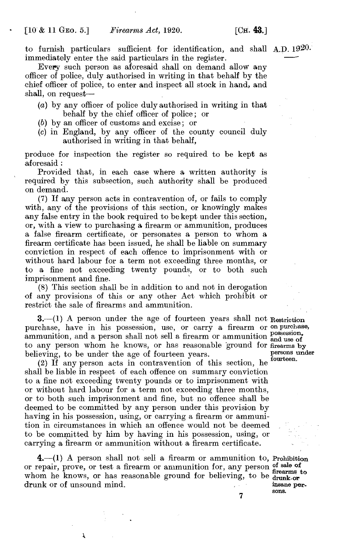to furnish particulars sufficient for identification, and shall A.D. 1920. immediately enter the said particulars in the register.

Every such person as aforesaid shall on demand allow any officer of police, duly authorised in writing in that behalf by the chief officer of police, to enter and inspect all stock in hand, and shall, on request-

- (a) by any officer of police duly authorised in writing in that behalf by the chief officer of police ; or
- (b) by an officer of customs and excise; or
- (c) in England, by any officer of the county council duly authorised in writing in that behalf,

produce for inspection the register so required to be kept as aforesaid :

Provided that, in each case where a written authority is required by this subsection, such authority shall be produced on demand.

(7) If any person acts in contravention of, or fails to comply with, any of the provisions of this section, or knowingly makes any false entry in the book required to be kept under this section, or, with a view to purchasing a firearm or ammunition, produces a false firearm certificate, or personates a person to whom a firearm certificate has been issued, he shall be liable on summary conviction in respect of each offence to imprisonment with or without hard labour for a term not exceeding three months, or to a fine not exceeding twenty pounds, or to both such imprisonment and fine.

(8) This section shall be in addition to and not in derogation of any provisions of this or any other Act which prohibit or restrict the sale of firearms and ammunition.

 $3-1$ ) A person under the age of fourteen years shall not Restriction **3.**—(1) A person under the age of fourteen years shall not  $\kappa_{\text{estriterion}}$  purchase, have in his possession, use, or carry a firearm or on purchase, ammunition, and a person shall not sell a firearm or ammunition and use of to any person whom he knows, or has reasonable 'ground for firearms by believing, to be under the age of fourteen years.

(2) If any person acts in contravention of this section, he shall be liable in respect of each offence on summary conviction to a fine not exceeding twenty pounds or to imprisonment with or without hard labour for a term not exceeding three months, or to both such imprisonment and fine, but no offence shall be deemed to be committed by any person under this provision by having in his possession, using, or carrying a firearm or ammunition in circumstances in which an offence would not be deemed to be committed by him by having in his possession, using, or carrying a firearm or ammunition without a firearm certificate.

 $4,-(1)$  A person shall not sell a firearm or ammunition to, Prohibition or repair, prove, or test a firearm or ammunition for, any person of sale of whom he knows, or has reasonable ground for believing, to be  $\frac{\text{area of the mean}}{\text{draws}}$ drunk or of unsound mind. The contract of unsolid mind. 7 sons.

persons under fourteen.

 $\lambda$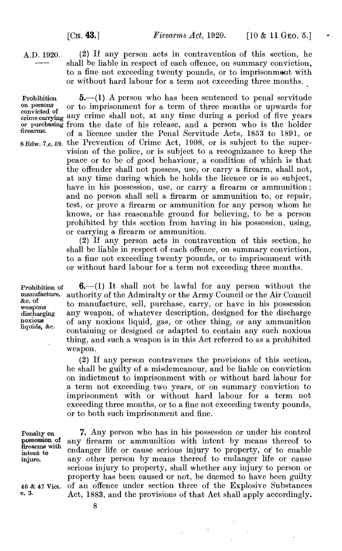A.D. 1920. (2) If any person acts in contravention of this section, he shall be liable in respect of each offence, on summary conviction, to a fine not exceeding twenty pounds, or to imprisonment with or without hard labour for a term not exceeding three months.

Prohibition  $5.-(1)$  A person who has been sentenced to penal servitude on persons or to imprisonment for a term of three months or upwards for convicted of conviction of the conviction of the conviction of the convention conviction of the shall not, at any time during a period of five years or purchasing from the date of his release, and a person who is the holder<br>firearms. of a licence under the Penal Servitude Acts, 1853 to 1891, or 8Edw. 7.c. 59. the Prevention of Crime Act, 1908, or is subject to the supervision of the police, or is subject to a recognizance to keep the peace or to be of good behaviour, a condition of which is that the offender shall not possess, use, or carry a firearm, shall not, at any time during which he holds the licence or is so subject, have in his possession, use, or carry a firearm or ammunition ; and no person shall sell a firearm or ammunition to, or repair, test, or prove a firearm or ammunition for any person whom he knows, or has reasonable ground for believing, to be a person prohibited by this section from having in his possession, using, or carrying a firearm or ammunition.

> (2) 'If any person acts in contravention of this section, he shall be liable in respect of each offence, on summary conviction, to a fine not exceeding twenty pounds, or to imprisonment with or without hard labour for a term not exceeding three months.

Prohibition of manufacture, &c. of weapons discharging noxious liquids, &c.

 $6-$ (1) It shall not be lawful for any person without the authority of the Admiralty or the Army Council or the Air Council to manufacture, sell, purchase, carry, or have in his possession any weapon, of whatever description, designed for the discharge of any noxious liquid, gas, or other thing, or any ammunition containing or designed or adapted to contain any such noxious thing, and such a weapon is in this Act referred to as a prohibited weapon.

(2) If any person contravenes the provisions of this section, he shall be guilty of a misdemeanour, and be liable on conviction on indictment to imprisonment with or without hard labour for a term not exceeding two years, or on summary conviction to imprisonment with or without hard labour for a term not exceeding three months, or to a fine not exceeding twenty pounds, or to both such imprisonment and fine.

Penalty on possession of firearms with intent to injure.

46 & 47 Viet. c. 3.

7. Any person who has in his possession or under his control any firearm or ammunition with intent by means thereof to endanger life or cause serious injury to property, or to enable any other person by means thereof to endanger life or cause serious injury to property, shall whether any injury to person or property has been caused or not, be deemed to have been guilty of an offence under section three of the Explosive Substances Act, 1883, and the provisions of that Act shall apply accordingly.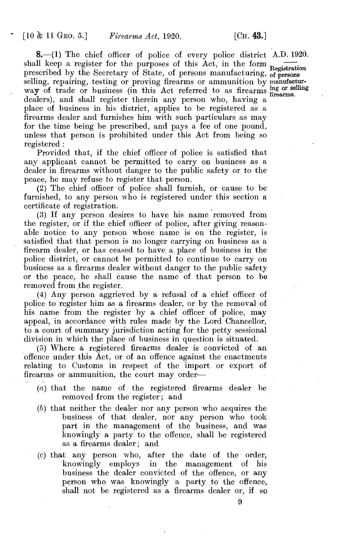8.-(1) The chief officer of police of every police district A.D. 1920. shall keep a register for the purposes of this Act, in the form Registration<br>prescribed by the Secretary of State, of persons manufacturing, of persons<br>selling, repairing, testing or proving firearms or ammunition by manuf way of trade or business (in this Act referred to as firearms ing or selling firearms. dealers), and shall register therein any person who, having a place of business in his district, applies to be registered as a firearms dealer and furnishes him with such particulars as may for the time being be prescribed, and pays a fee of one pound, unless that person is prohibited under this Act from being so registered : Provided that, if the chief officer of police is satisfied that

any applicant cannot be permitted to carry on business as a dealer in firearms without danger to the public safety or to the peace, he may refuse to register that person.

(2) The chief officer of police shall furnish, or cause to be furnished, to any person who is registered under this section a certificate of registration.

(3) If any person desires to have his name removed from the register, or if the chief officer of police, after giving reasonable notice to any person whose name is on the register, is satisfied that that person is no longer carrying on business as a firearm dealer, or has ceased to have a place of business in the police district, or cannot be permitted to continue to carry on business as a firearms dealer without danger to the public safety or the peace, he shall cause the name of that person to be removed from the register.

(4) Any person aggrieved by a refusal of a chief officer of police to register him as a firearms dealer, or by the removal of his name from the register by a chief officer of police, may appeal, in accordance with rules made by the Lord Chancellor, to a court of summary jurisdiction acting for the petty sessional division in which the place of business in question is situated.

(5) Where a registered firearms dealer is convicted of an offence under this Act, or of an offence against the enactments relating to Customs in respect of the import or export of firearms or ammunition, the court may order-

- (a) that the name of the registered firearms dealer be removed from the register ; and
- (b) that neither the dealer nor any person who acquires the business of that dealer, nor any person who took part in the management of the business, and was knowingly a party to the offence, shall be registered as a firearms dealer ; and
- (c) that any person who, after the date of the order,  $k$ nowingly employs in the management of business the dealer convicted of the offence, or any person who was knowingly a party to the offence, shall not be registered as a firearms dealer or, if so

 $\overline{9}$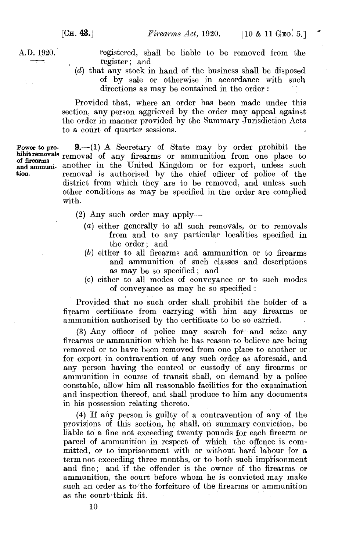A.D. 1920. registered, shall be liable to be removed from the register ; and

(d) that any stock in hand of the business shall be disposed of by sale or otherwise in accordance with such directions as may be contained in the order :

Provided that, where an order has been made under this section, any person aggrieved by the order may appeal against the order in manner provided by the Summary Jurisdiction Acts to a court of quarter sessions.

**Power to pro-**  $9$ —(1) A Secretary of State may by order prohibit the hibit removals removal of any firearms or ammunition from one place to hibit removals removal of any firearms or ammunition from one place to of firearms another in the United Kingdom or for export, unless such tion. removal is authorised by the chief officer of police of the district from which they are to be removed, and unless such other conditions as may be specified in the order are complied with.

- (2) Any such order may apply-
	- (a) either generally to all such removals, or to removals from and to any particular localities specified in the order ; and
	- (b) either to all firearms and ammunition or to firearms and ammunition of such classes and descriptions as may be so specified ; and
	- (c) either to all modes of conveyance or to such modes of conveyance as may be so specified

Provided that no such order shall prohibit the holder of a firearm certificate from carrying with him any firearms or ammunition authorised by the certificate to be so carried.

(3) Any officer of police may search for and seize any firearms or ammunition which he has reason to believe are being removed or to have been removed from one place to another or. for export in contravention of any such order as aforesaid, and any person having the control or custody of any firearms or ammunition in course of transit shall, on demand by a police constable, allow him all reasonable facilities for the examination and inspection thereof, and shall produce.to him any documents in his possession relating thereto.

(4) If any person is guilty of a contravention of any of the provisions of this section, he shall, on' summary conviction, be liable to a fine not exceeding twenty pounds for each firearm or parcel of ammunition in respect of which the offence is committed, or to imprisonment with or without hard labour for a term not exceeding three months, or to both such imprisonment and fine; and if the offender is the owner of the firearms or ammunition, the court before whom he is convicted may make such an order as to the forfeiture of the firearms or ammunition as the court think fit.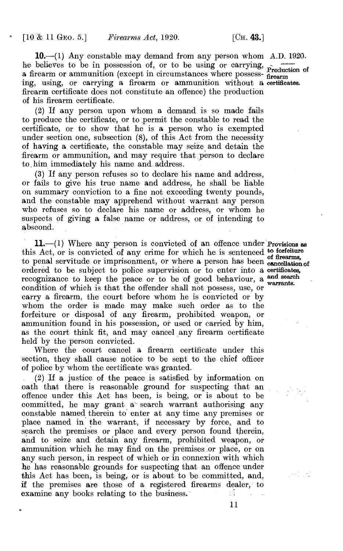$10.$  (1) Any constable may demand from any person whom A.D. 1920. he believes to be in possession of, or to be using or carrying,  $\frac{1}{\text{Production of}}$ a firearm or ammunition (except in circumstances where possess-firearm ing, using, or carrying a firearm or ammunition without a certificates. firearm certificate does not constitute an offence) the production of his firearm certificate.

(2) If any person upon whom a demand is so made fails to produce the certificate, or to permit the constable to read the certificate, or to show that he is a person who is exempted under section one, subsection (8), of this Act from the necessity of having a certificate, the constable may seize and detain the firearm or ammunition, and may require that person to declare to, him immediately his name and. address.

(3) If any person refuses so to declare his name and address, or fails to give his true name and address, he shall be liable on summary conviction to a fine not exceeding twenty pounds, and the constable may apprehend without warrant any person who refuses so to declare his name or address, or whom he suspects of giving a false name or address, or of intending to abscond.

11.-(1) Where any person is convicted of an offence under Provisions as this Act, or is convicted of any crime for which he is sentenced to forfeiture to penal servitude or imprisonment, or where a person has been cancellation of ordered to be subject to police supervision or to enter into a certificates, recognizance to keep the peace or to be of good behaviour, a and search condition of which is that the offender shall not possess, use, or carry a firearm, the court before whom he is convicted or by whom the order is made may make such order as to the forfeiture or disposal of any firearm, prohibited. weapon, or ammunition found in his possession, or used or carried by him, as the court think fit, and may cancel any firearm certificate held by the person convicted.

Where the court cancel a firearm certificate under this section, they shall cause notice to be sent to the chief officer of police by whom the certificate was granted.

(2) If a justice of the peace is satisfied by information on oath that there is reasonable ground for suspecting that an offence under this Act has been, is being, or is about to be committed, he may grant a` search warrant authorising any constable named, therein to' enter at any time any premises or place named in the warrant, if necessary by force, and to search the premises or place and every person found therein, and to seize and detain any firearm, prohibited weapon, or ammunition which he may find on the premises or place, or on any such person, in respect of which or in connexion with which he has reasonable grounds for suspecting that an offence under this Act has been, is being, or is about to be committed, and, if the premises are those of a registered firearms dealer, to examine any books relating to the business.

warrants.

193 B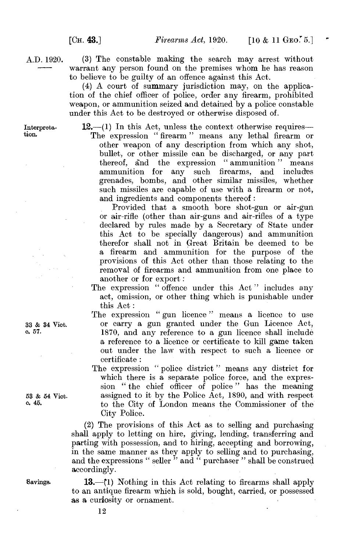A.D. 1920. (3) The constable making the search may arrest without warrant any person found on the premises whom he has reason to believe to be guilty of an offence against this Act.

(4) A court of summary jurisdiction may, on the application of the chief officer of police, order any firearm, prohibited weapon, or ammunition seized and detained by a police constable under this Act to be destroyed or otherwise disposed of.

Interpreta-  $12$ , (1) In this Act, unless the context otherwise requires-<br>tion. The expression "free m" means any lathel free m or The expression "firearm" means any lethal firearm or other weapon of any description from which any shot, bullet, or other missile can be discharged, or any part thereof, and the expression " ammunition " means<br>ammunition for any such firearms, and includes such firearms, and includes grenades, bombs, and other similar missiles, whether such missiles are capable of use with a firearm or not, and ingredients and components thereof :

> Provided that a smooth bore shot-gun or air-gun or air-rifle (other than air-guns and air-rifles of a type declared by rules made by a Secretary of State under this Act to be specially dangerous) and ammunition therefor shall not in Great Britain be deemed to be a firearm and ammunition for the purpose of the provisions of this Act other than those relating to the removal of firearms and ammunition from one place to another or for export :

- The expression " offence under this Act " includes any act, omission, or other thing which is punishable under this Act :
- The expression " gun licence " means a licence to use 33  $\&$  34 Viet. or carry a gun granted under the Gun Licence Act,  $\&$  57. 1870, and any reference to a gun licence shall include <sup>a</sup>reference to a licence or certificate to kill game taken out under the law with respect to such a licence or certificate :
- The expression " police district " means any district for which there is a separate police force, and the expression "the chief officer of police" has the meaning 53 & 54 Viet. assigned to it by the Police  $\tilde{A}ct$ , 1890, and with respect  $\tilde{a}$ , 45. to the City of London means the Commissioner of the City Police.

(2) The provisions of this Act as to selling and purchasing shall apply to letting on hire, giving, lending, transferring and parting with possession, and to hiring, accepting and borrowing, in the same manner as they apply to selling and to purchasing, and the expressions " seller  $\overset{..}{ }$  and  $\overset{..}{ }$  purchaser  $\overset{..}{ }$  shall be construed accordingly.

Savings. **13.**—(1) Nothing in this Act relating to firearms shall apply to an antique firearm which is sold, bought, carried, or possessed as a curiosity or ornament.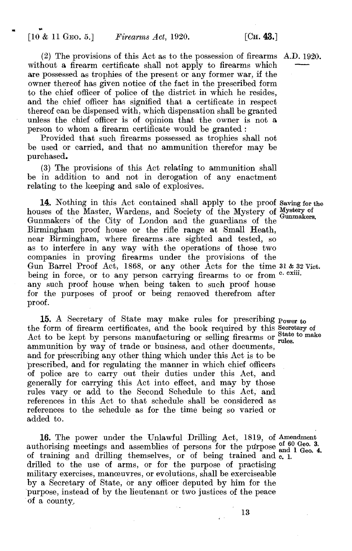(2) The provisions of this Act as to the possession of firearms A.D. 1920. without a firearm certificate shall not apply to firearms which are possessed as trophies of the present or any former war, if the owner thereof has given notice of the fact in the prescribed form to the chief officer of police of the district in which he resides, and the chief officer has signified that a certificate in respect thereof can be dispensed with, which dispensation shall be granted unless the chief officer is of opinion that the owner is not a person to whom a firearm certificate would be granted :

Provided that such firearms possessed as trophies shall not be used or carried, and that no ammunition therefor may be purchased.

(3) The provisions of this Act relating to ammunition shall be in addition to and not in derogation of any enactment relating to the keeping and sale of explosives.

14. Nothing in this Act contained shall apply to the proof Saving for the houses of the Master, Wardens, and Society of the Mystery of Mystery of Gunmakers of the City of London and the guardians of the Gunmakers. Birmingham proof house or the rifle range at Small Heath, near Birmingham, where firearms . are sighted and tested, so as to interfere in any way with the operations of those two companies in proving firearms under the provisions of the Gun Barrel Proof Act, 1868, or any other Acts for the time 31 & 32 Vict. being in force, or to any person carrying firearms to or from <sup>c. exiii</sup>. any such proof house when being taken to such proof house for the purposes of proof or being removed therefrom after proof.

15. A Secretary of State may make rules for prescribing power to the form of firearm certificates, and the book required by this Secretary of Act to be kept by persons manufacturing or selling firearms or rules. ammunition by way of trade or business, and other documents, and for prescribing any other thing which under this Act is to be prescribed, and for regulating the manner in which chief officers of police are to carry out their duties under this Act, and generally for carrying this Act into effect, and may by those rules vary or add to the Second Schedule to this Act, and references in this Act to that schedule shall be considered as references to the schedule as for the time being so varied or added to.

16. The power under the Unlawful Drilling Act, 1819, of Amendment authorising meetings and assemblies of persons for the purpose  $_{\text{and i}}^{\text{of 60}}$ of training and drilling themselves, or of being trained and  $\alpha$ ,  $\alpha$ . drilled to the use of arms, or for the purpose of practising military exercises, manoeuvres, or evolutions, shall be exerciseable by a Secretary of State, or any officer deputed by him for the purpose, instead of by the lieutenant or two justices of the peace of a county. of 60 Geo. 3. and 1 Geo. 4. c. 1.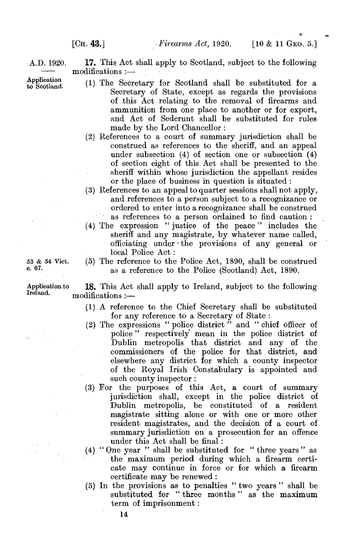A.D. 1920. 17. This Act shall apply to Scotland, subject to the following modifications :-

- Application to Scotland (1) The Secretary for Scotland shall be substituted for a Secretary of State, except as regards the provisions of this Act relating to the removal of firearms and ammunition from one place to another or for export, and Act of Sederunt shall be substituted for rules made by the Lord Chancellor :
	- (2) References to a court of summary jurisdiction shall be construed as references to the sheriff, and an appeal under subsection (4) of section one or subsection (4) of section eight of this Act shall be presented to the sheriff within whose jurisdiction the appellant resides or the place of business in question is situated :
	- (3) References to an appeal to quarter sessions shall not apply, and references to a person subject to a recognizance or ordered to enter into a recognizance shall be construed as references to a person ordained to find caution :
	- (4) The expression " justice of the peace " includes the sheriff and any magistrate, by whatever name called, officiating under - the provisions of any general or local Police Act :
- 53 & 54 Viet. (5) The reference to the Police Act, 1890, shall be construed<br>e. 67. as a reference to the Police (Scotland) Act, 1890.

Application to  $\frac{18}{100}$ . This Act shall apply to Ireland, subject to the following modifications :-

- (1) A reference to the Chief Secretary shall be substituted for any reference to a Secretary of State :
- (2) The expressions " police district  $\ddot{ }$ " and " chief officer of police " respectively mean in the police district of Dublin metropolis that district and any of the commissioners of the police for that district, and elsewhere any district for which a county inspector of the Royal Irish Constabulary is appointed and such county inspector :
- (3) For the purposes of this Act, a court of summary jurisdiction shall, except in the police district of Dublin metropolis, be constituted of a resident magistrate sitting alone or with one or more other resident magistrates, and the decision of a court of summary jurisdiction on a prosecution for an offence under this Act shall be final :
- (4) " One year " shall be substituted for " three years " as the maximum period during which a firearm certicate may continue in force or for which a firearm certificate may be renewed :
- (5) In the provisions as to penalties " two years " shall be substituted for " three months " as the maximum term of imprisonment :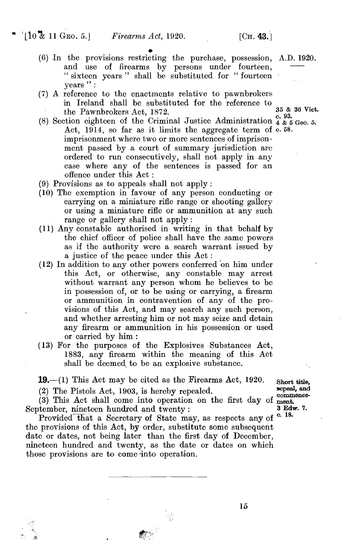- (6) In the provisions restricting the purchase, possession, A.D. 1920. and use of firearms by persons under fourteen, " sixteen years " shall be substituted for "fourteen years":
- (7) A reference to the enactments relative to pawnbrokers in Ireland shall be substituted for the reference to the Pawnbrokers Act, 1872. 35 & 36 Viet. the Pawnbrokers Act, 1872.  $35 \& 36$  Vict.
- (8) Section eighteen of the Criminal Justice Administration  $\frac{c}{4}$  & 5 Geo. 5. Act,  $1914$ , so far as it limits the aggregate term of c. 58. imprisonment where two or more sentences of imprisonment passed by a court of summary -jurisdiction are ordered to run consecutively, shall not apply in any case where any of the sentences is passed for an offence under this Act :
- (9) Provisions as to appeals shall not apply :
- (10) The exemption in favour of any person conducting or carrying on a miniature rifle range or shooting gallery or using a miniature rifle or ammunition at any such range or gallery shall not apply :
- (11) Any constable authorised in writing in that behalf by the chief officer of police shall have the same powers as if the authority were a search warrant issued by a justice of the peace under this Act :
- (12) In addition to any other powers conferred on him under this Act, or otherwise, any constable may arrest without warrant any person whom he believes to be in possession of, or to be using or carrying, a firearm or ammunition in contravention of any of the provisions of this Act, and may search any such person, and whether arresting him or not may seize and detain any firearm or ammunition in his possession or used or carried by him :
- (13) For the purposes of the Explosives Substances Act, 1883, any firearm within the meaning of this Act shall be deemed to be an explosive substance.

19.—(1) This Act may be cited as the Firearms Act, 1920. Short title,<br>(2) The Pistols Act, 1903 is bereby repealed sepeal, and

(2) The Pistols Act, 1903, is hereby repealed. **a expeal, and** (3) This Act shall come into operation on the first day of ment. tember. nineteen hundred and twenty:  $\frac{3 \text{ Edw}}{2 \text{ Edw}}$ . September, nineteen hundred and twenty : 3 Education 3 Education 1 State may as respects any of c. 18.

Provided that a Secretary of State may, as respects any of the provisions of this Act, by order, substitute some subsequent date or dates, not being later than the first day of December, nineteen hundred and twenty, as the date or dates on which those provisions are to come -into operation.